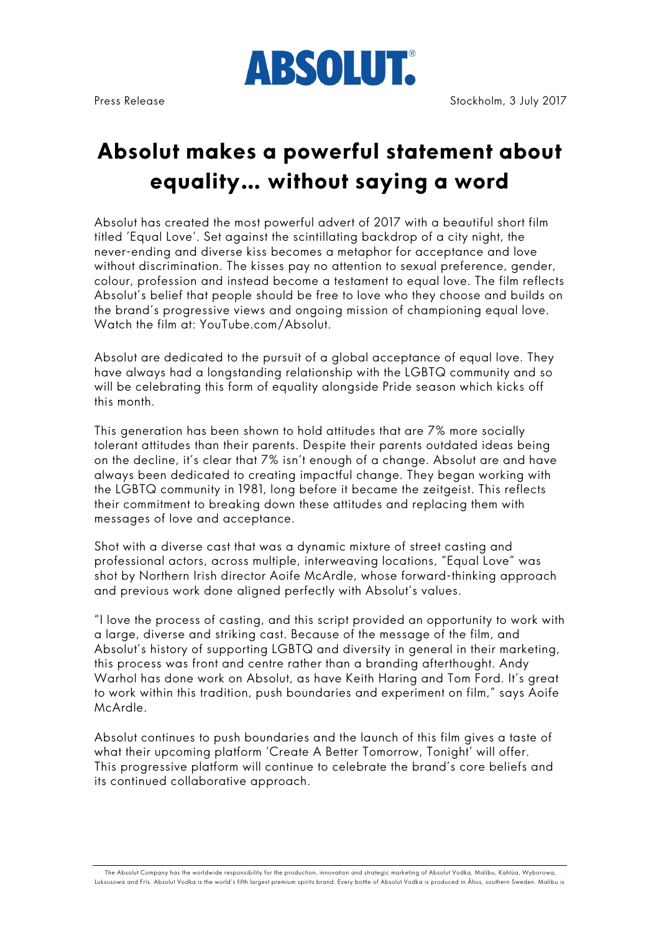

# **Absolut makes a powerful statement about equality… without saying a word**

Absolut has created the most powerful advert of 2017 with a beautiful short film titled 'Equal Love'. Set against the scintillating backdrop of a city night, the never-ending and diverse kiss becomes a metaphor for acceptance and love without discrimination. The kisses pay no attention to sexual preference, gender, colour, profession and instead become a testament to equal love. The film reflects Absolut's belief that people should be free to love who they choose and builds on the brand's progressive views and ongoing mission of championing equal love. Watch the film at: YouTube.com/Absolut.

Absolut are dedicated to the pursuit of a global acceptance of equal love. They have always had a longstanding relationship with the LGBTQ community and so will be celebrating this form of equality alongside Pride season which kicks off this month.

This generation has been shown to hold attitudes that are 7% more socially tolerant attitudes than their parents. Despite their parents outdated ideas being on the decline, it's clear that 7% isn't enough of a change. Absolut are and have always been dedicated to creating impactful change. They began working with the LGBTQ community in 1981, long before it became the zeitgeist. This reflects their commitment to breaking down these attitudes and replacing them with messages of love and acceptance.

Shot with a diverse cast that was a dynamic mixture of street casting and professional actors, across multiple, interweaving locations, "Equal Love" was shot by Northern Irish director Aoife McArdle, whose forward-thinking approach and previous work done aligned perfectly with Absolut's values.

"I love the process of casting, and this script provided an opportunity to work with a large, diverse and striking cast. Because of the message of the film, and Absolut's history of supporting LGBTQ and diversity in general in their marketing, this process was front and centre rather than a branding afterthought. Andy Warhol has done work on Absolut, as have Keith Haring and Tom Ford. It's great to work within this tradition, push boundaries and experiment on film," says Aoife McArdle.

Absolut continues to push boundaries and the launch of this film gives a taste of what their upcoming platform 'Create A Better Tomorrow, Tonight' will offer. This progressive platform will continue to celebrate the brand's core beliefs and its continued collaborative approach.

The Absolut Company has the worldwide responsibility for the production, innovation and strategic marketing of Absolut Vodka, Malibu, Kahlúa, Wyborowa, Luksusowa and Frïs. Absolut Vodka is the world's fifth largest premium spirits brand. Every bottle of Absolut Vodka is produced in Åhus, southern Sweden. Malibu is